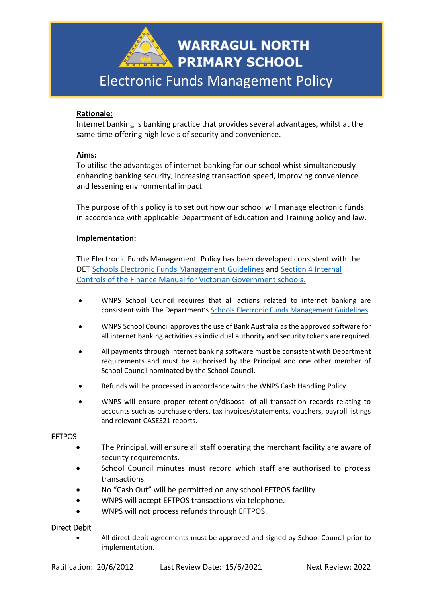

# **Rationale:**

Internet banking is banking practice that provides several advantages, whilst at the same time offering high levels of security and convenience.

## **Aims:**

To utilise the advantages of internet banking for our school whist simultaneously enhancing banking security, increasing transaction speed, improving convenience and lessening environmental impact.

The purpose of this policy is to set out how our school will manage electronic funds in accordance with applicable Department of Education and Training policy and law.

## **Implementation:**

The Electronic Funds Management Policy has been developed consistent with the DET [Schools Electronic Funds Management Guidelines](http://www.education.vic.gov.au/Documents/school/principals/finance/Fin%20Schools%20Electronic%20Funds%20Management%20Guidelines%20V1_2.pdf) and [Section 4 Internal](https://www2.education.vic.gov.au/pal/internal-controls-finance-manual-section-4/policy)  [Controls](https://www2.education.vic.gov.au/pal/internal-controls-finance-manual-section-4/policy) of the Finance Manual for Victorian Government schools.

- WNPS School Council requires that all actions related to internet banking are consistent with The Department's [Schools Electronic Funds Management Guidelines](http://www.education.vic.gov.au/Documents/school/principals/finance/Fin%20Schools%20Electronic%20Funds%20Management%20Guidelines%20V1_2.pdf).
- WNPS School Council approves the use of Bank Australia as the approved software for all internet banking activities as individual authority and security tokens are required.
- All payments through internet banking software must be consistent with Department requirements and must be authorised by the Principal and one other member of School Council nominated by the School Council.
- Refunds will be processed in accordance with the WNPS Cash Handling Policy.
- WNPS will ensure proper retention/disposal of all transaction records relating to accounts such as purchase orders, tax invoices/statements, vouchers, payroll listings and relevant CASES21 reports.

#### EFTPOS

- The Principal, will ensure all staff operating the merchant facility are aware of security requirements.
- School Council minutes must record which staff are authorised to process transactions.
- No "Cash Out" will be permitted on any school EFTPOS facility.
- WNPS will accept EFTPOS transactions via telephone.
- WNPS will not process refunds through EFTPOS.

## Direct Debit

• All direct debit agreements must be approved and signed by School Council prior to implementation.